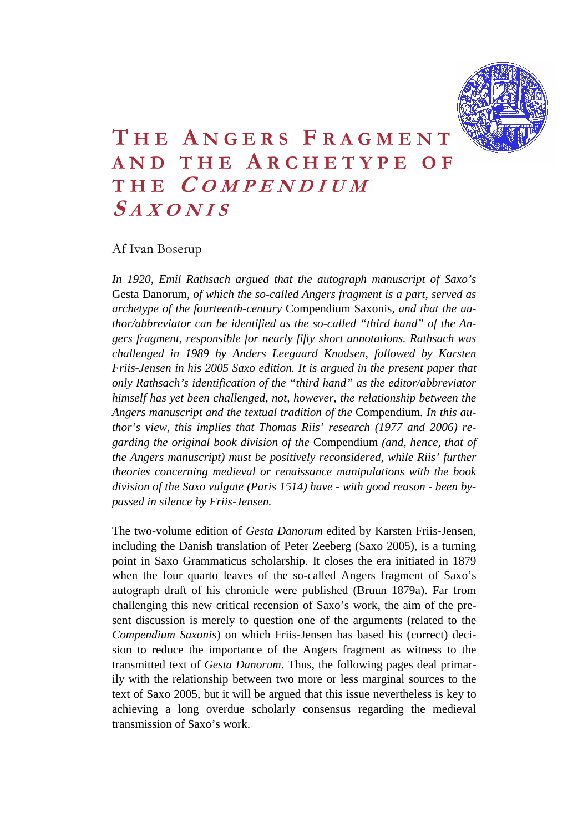

# **T HE A NGERS F RAGMENT AND THE A RCHETYPE OF THE C OMPENDIUM S AXONIS**

#### Af Ivan Boserup

*In 1920, Emil Rathsach argued that the autograph manuscript of Saxo's*  Gesta Danorum*, of which the so-called Angers fragment is a part, served as archetype of the fourteenth-century* Compendium Saxonis*, and that the author/abbreviator can be identified as the so-called "third hand" of the Angers fragment, responsible for nearly fifty short annotations. Rathsach was challenged in 1989 by Anders Leegaard Knudsen, followed by Karsten Friis-Jensen in his 2005 Saxo edition. It is argued in the present paper that only Rathsach's identification of the "third hand" as the editor/abbreviator himself has yet been challenged, not, however, the relationship between the Angers manuscript and the textual tradition of the* Compendium*. In this author's view, this implies that Thomas Riis' research (1977 and 2006) regarding the original book division of the* Compendium *(and, hence, that of the Angers manuscript) must be positively reconsidered, while Riis' further theories concerning medieval or renaissance manipulations with the book division of the Saxo vulgate (Paris 1514) have - with good reason - been bypassed in silence by Friis-Jensen.* 

The two-volume edition of *Gesta Danorum* edited by Karsten Friis-Jensen, including the Danish translation of Peter Zeeberg (Saxo 2005), is a turning point in Saxo Grammaticus scholarship. It closes the era initiated in 1879 when the four quarto leaves of the so-called Angers fragment of Saxo's autograph draft of his chronicle were published (Bruun 1879a). Far from challenging this new critical recension of Saxo's work, the aim of the present discussion is merely to question one of the arguments (related to the *Compendium Saxonis*) on which Friis-Jensen has based his (correct) decision to reduce the importance of the Angers fragment as witness to the transmitted text of *Gesta Danorum*. Thus, the following pages deal primarily with the relationship between two more or less marginal sources to the text of Saxo 2005, but it will be argued that this issue nevertheless is key to achieving a long overdue scholarly consensus regarding the medieval transmission of Saxo's work.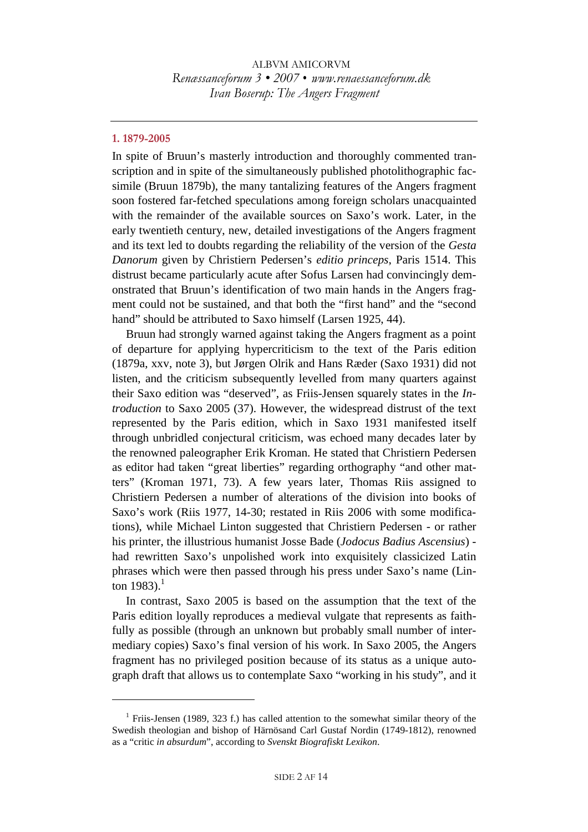#### **1. 1879-2005**

 $\overline{a}$ 

In spite of Bruun's masterly introduction and thoroughly commented transcription and in spite of the simultaneously published photolithographic facsimile (Bruun 1879b), the many tantalizing features of the Angers fragment soon fostered far-fetched speculations among foreign scholars unacquainted with the remainder of the available sources on Saxo's work. Later, in the early twentieth century, new, detailed investigations of the Angers fragment and its text led to doubts regarding the reliability of the version of the *Gesta Danorum* given by Christiern Pedersen's *editio princeps*, Paris 1514. This distrust became particularly acute after Sofus Larsen had convincingly demonstrated that Bruun's identification of two main hands in the Angers fragment could not be sustained, and that both the "first hand" and the "second hand" should be attributed to Saxo himself (Larsen 1925, 44).

Bruun had strongly warned against taking the Angers fragment as a point of departure for applying hypercriticism to the text of the Paris edition (1879a, xxv, note 3), but Jørgen Olrik and Hans Ræder (Saxo 1931) did not listen, and the criticism subsequently levelled from many quarters against their Saxo edition was "deserved", as Friis-Jensen squarely states in the *Introduction* to Saxo 2005 (37). However, the widespread distrust of the text represented by the Paris edition, which in Saxo 1931 manifested itself through unbridled conjectural criticism, was echoed many decades later by the renowned paleographer Erik Kroman. He stated that Christiern Pedersen as editor had taken "great liberties" regarding orthography "and other matters" (Kroman 1971, 73). A few years later, Thomas Riis assigned to Christiern Pedersen a number of alterations of the division into books of Saxo's work (Riis 1977, 14-30; restated in Riis 2006 with some modifications), while Michael Linton suggested that Christiern Pedersen - or rather his printer, the illustrious humanist Josse Bade (*Jodocus Badius Ascensius*)  had rewritten Saxo's unpolished work into exquisitely classicized Latin phrases which were then passed through his press under Saxo's name (Linton 1983).<sup>1</sup>

In contrast, Saxo 2005 is based on the assumption that the text of the Paris edition loyally reproduces a medieval vulgate that represents as faithfully as possible (through an unknown but probably small number of intermediary copies) Saxo's final version of his work. In Saxo 2005, the Angers fragment has no privileged position because of its status as a unique autograph draft that allows us to contemplate Saxo "working in his study", and it

<sup>&</sup>lt;sup>1</sup> Friis-Jensen (1989, 323 f.) has called attention to the somewhat similar theory of the Swedish theologian and bishop of Härnösand Carl Gustaf Nordin (1749-1812), renowned as a "critic *in absurdum*", according to *Svenskt Biografiskt Lexikon*.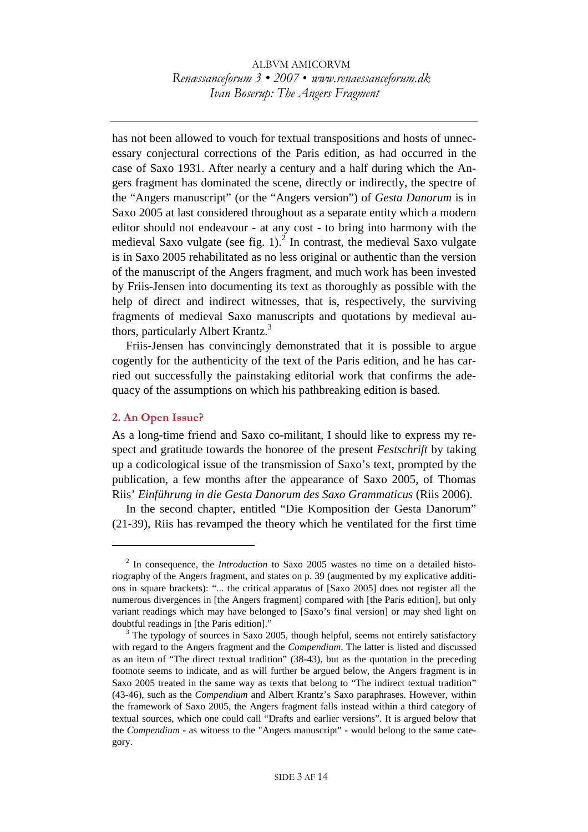has not been allowed to vouch for textual transpositions and hosts of unnecessary conjectural corrections of the Paris edition, as had occurred in the case of Saxo 1931. After nearly a century and a half during which the Angers fragment has dominated the scene, directly or indirectly, the spectre of the "Angers manuscript" (or the "Angers version") of *Gesta Danorum* is in Saxo 2005 at last considered throughout as a separate entity which a modern editor should not endeavour - at any cost **-** to bring into harmony with the medieval Saxo vulgate (see fig.  $1$ ).<sup>2</sup> In contrast, the medieval Saxo vulgate is in Saxo 2005 rehabilitated as no less original or authentic than the version of the manuscript of the Angers fragment, and much work has been invested by Friis-Jensen into documenting its text as thoroughly as possible with the help of direct and indirect witnesses, that is, respectively, the surviving fragments of medieval Saxo manuscripts and quotations by medieval authors, particularly Albert Krantz.<sup>3</sup>

Friis-Jensen has convincingly demonstrated that it is possible to argue cogently for the authenticity of the text of the Paris edition, and he has carried out successfully the painstaking editorial work that confirms the adequacy of the assumptions on which his pathbreaking edition is based.

#### **2. An Open Issue?**

 $\overline{a}$ 

As a long-time friend and Saxo co-militant, I should like to express my respect and gratitude towards the honoree of the present *Festschrift* by taking up a codicological issue of the transmission of Saxo's text, prompted by the publication, a few months after the appearance of Saxo 2005, of Thomas Riis' *Einführung in die Gesta Danorum des Saxo Grammaticus* (Riis 2006).

In the second chapter, entitled "Die Komposition der Gesta Danorum" (21-39), Riis has revamped the theory which he ventilated for the first time

<sup>&</sup>lt;sup>2</sup> In consequence, the *Introduction* to Saxo 2005 wastes no time on a detailed historiography of the Angers fragment, and states on p. 39 (augmented by my explicative additions in square brackets): "... the critical apparatus of [Saxo 2005] does not register all the numerous divergences in [the Angers fragment] compared with [the Paris edition], but only variant readings which may have belonged to [Saxo's final version] or may shed light on doubtful readings in [the Paris edition]." 3

 $3$  The typology of sources in Saxo 2005, though helpful, seems not entirely satisfactory with regard to the Angers fragment and the *Compendium*. The latter is listed and discussed as an item of "The direct textual tradition" (38-43), but as the quotation in the preceding footnote seems to indicate, and as will further be argued below, the Angers fragment is in Saxo 2005 treated in the same way as texts that belong to "The indirect textual tradition" (43-46), such as the *Compendium* and Albert Krantz's Saxo paraphrases. However, within the framework of Saxo 2005, the Angers fragment falls instead within a third category of textual sources, which one could call "Drafts and earlier versions". It is argued below that the *Compendium* - as witness to the "Angers manuscript" - would belong to the same category.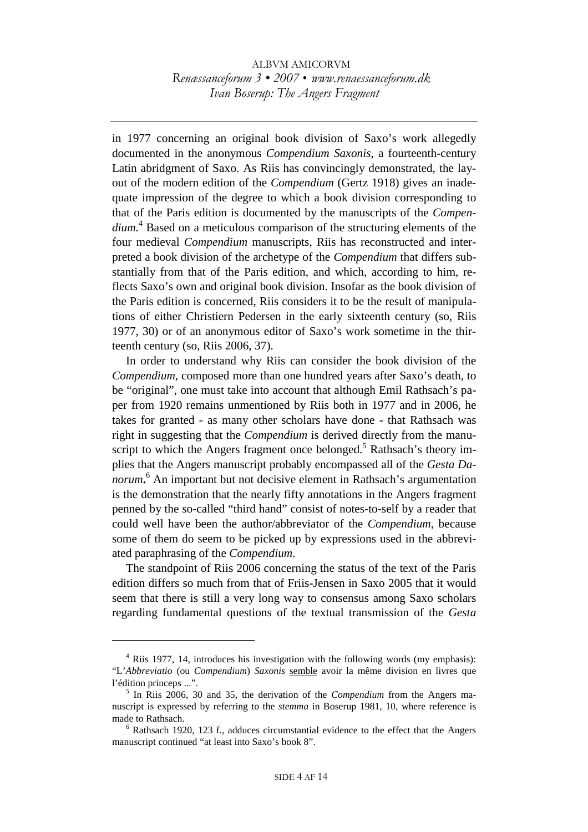in 1977 concerning an original book division of Saxo's work allegedly documented in the anonymous *Compendium Saxonis*, a fourteenth-century Latin abridgment of Saxo. As Riis has convincingly demonstrated, the layout of the modern edition of the *Compendium* (Gertz 1918) gives an inadequate impression of the degree to which a book division corresponding to that of the Paris edition is documented by the manuscripts of the *Compendium.*<sup>4</sup> Based on a meticulous comparison of the structuring elements of the four medieval *Compendium* manuscripts, Riis has reconstructed and interpreted a book division of the archetype of the *Compendium* that differs substantially from that of the Paris edition, and which, according to him, reflects Saxo's own and original book division. Insofar as the book division of the Paris edition is concerned, Riis considers it to be the result of manipulations of either Christiern Pedersen in the early sixteenth century (so, Riis 1977, 30) or of an anonymous editor of Saxo's work sometime in the thirteenth century (so, Riis 2006, 37).

In order to understand why Riis can consider the book division of the *Compendium*, composed more than one hundred years after Saxo's death, to be "original", one must take into account that although Emil Rathsach's paper from 1920 remains unmentioned by Riis both in 1977 and in 2006, he takes for granted - as many other scholars have done - that Rathsach was right in suggesting that the *Compendium* is derived directly from the manuscript to which the Angers fragment once belonged.<sup>5</sup> Rathsach's theory implies that the Angers manuscript probably encompassed all of the *Gesta Danorum***.** <sup>6</sup> An important but not decisive element in Rathsach's argumentation is the demonstration that the nearly fifty annotations in the Angers fragment penned by the so-called "third hand" consist of notes-to-self by a reader that could well have been the author/abbreviator of the *Compendium*, because some of them do seem to be picked up by expressions used in the abbreviated paraphrasing of the *Compendium*.

The standpoint of Riis 2006 concerning the status of the text of the Paris edition differs so much from that of Friis-Jensen in Saxo 2005 that it would seem that there is still a very long way to consensus among Saxo scholars regarding fundamental questions of the textual transmission of the *Gesta* 

<sup>&</sup>lt;sup>4</sup> Riis 1977, 14, introduces his investigation with the following words (my emphasis): "L'*Abbreviatio* (ou *Compendium*) *Saxonis* semble avoir la même division en livres que l'édition princeps ...".

<sup>&</sup>lt;sup>5</sup> In Riis 2006, 30 and 35, the derivation of the *Compendium* from the Angers manuscript is expressed by referring to the *stemma* in Boserup 1981, 10, where reference is made to Rathsach. 6

 $6$  Rathsach 1920, 123 f., adduces circumstantial evidence to the effect that the Angers manuscript continued "at least into Saxo's book 8".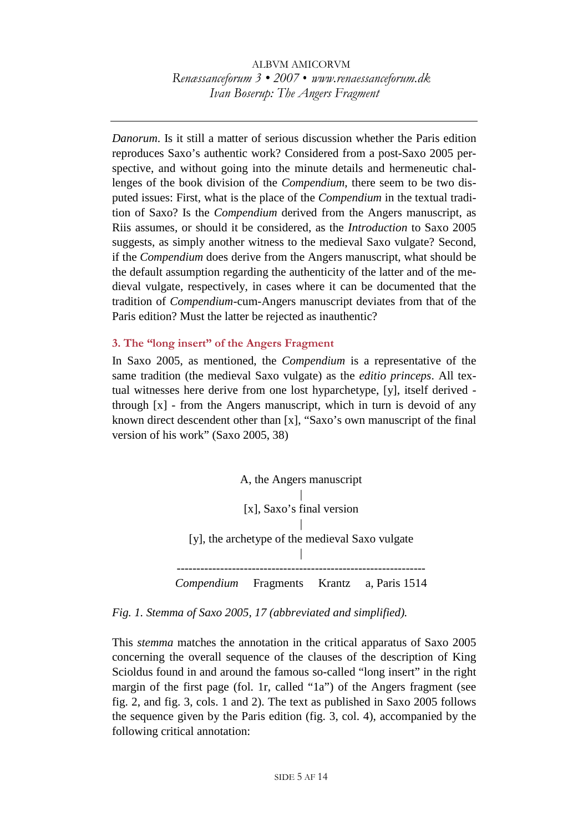*Danorum*. Is it still a matter of serious discussion whether the Paris edition reproduces Saxo's authentic work? Considered from a post-Saxo 2005 perspective, and without going into the minute details and hermeneutic challenges of the book division of the *Compendium*, there seem to be two disputed issues: First, what is the place of the *Compendium* in the textual tradition of Saxo? Is the *Compendium* derived from the Angers manuscript, as Riis assumes, or should it be considered, as the *Introduction* to Saxo 2005 suggests, as simply another witness to the medieval Saxo vulgate? Second, if the *Compendium* does derive from the Angers manuscript, what should be the default assumption regarding the authenticity of the latter and of the medieval vulgate, respectively, in cases where it can be documented that the tradition of *Compendium*-cum-Angers manuscript deviates from that of the Paris edition? Must the latter be rejected as inauthentic?

#### **3. The "long insert" of the Angers Fragment**

In Saxo 2005, as mentioned, the *Compendium* is a representative of the same tradition (the medieval Saxo vulgate) as the *editio princeps*. All textual witnesses here derive from one lost hyparchetype, [y], itself derived through  $[x]$  - from the Angers manuscript, which in turn is devoid of any known direct descendent other than [x], "Saxo's own manuscript of the final version of his work" (Saxo 2005, 38)



#### *Fig. 1. Stemma of Saxo 2005, 17 (abbreviated and simplified).*

This *stemma* matches the annotation in the critical apparatus of Saxo 2005 concerning the overall sequence of the clauses of the description of King Scioldus found in and around the famous so-called "long insert" in the right margin of the first page (fol. 1r, called "1a") of the Angers fragment (see fig. 2, and fig. 3, cols. 1 and 2). The text as published in Saxo 2005 follows the sequence given by the Paris edition (fig. 3, col. 4), accompanied by the following critical annotation: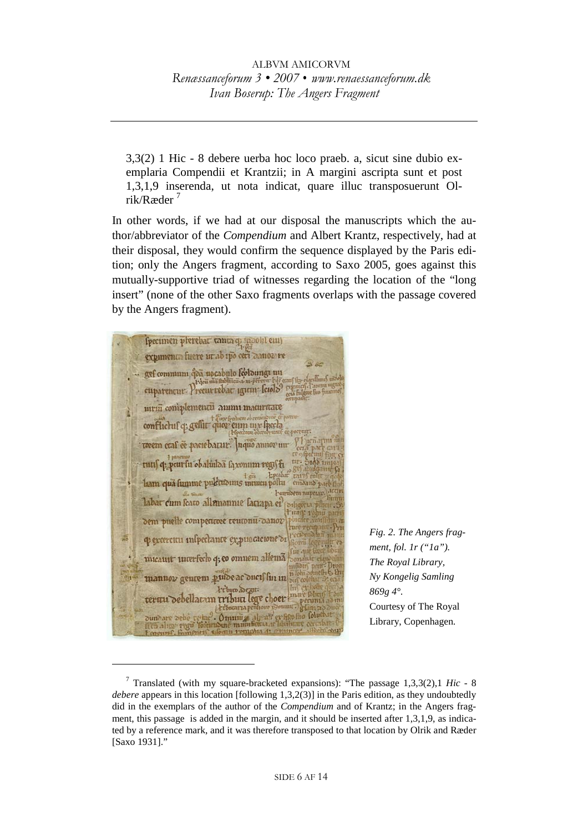3,3(2) 1 Hic - 8 debere uerba hoc loco praeb. a, sicut sine dubio exemplaria Compendii et Krantzii; in A margini ascripta sunt et post 1,3,1,9 inserenda, ut nota indicat, quare illuc transposuerunt Olrik/Ræder 7

In other words, if we had at our disposal the manuscripts which the author/abbreviator of the *Compendium* and Albert Krantz, respectively, had at their disposal, they would confirm the sequence displayed by the Paris edition; only the Angers fragment, according to Saxo 2005, goes against this mutually-supportive triad of witnesses regarding the location of the "long insert" (none of the other Saxo fragments overlaps with the passage covered by the Angers fragment).

Specimen plerebar tanta q noohl em expimenta fuere ut ab ipo ceti canoz re - aef commum qua nocabulo feoloungi un euparencur Precurrebac igirm leiolo meni coniplementii ammi maturatte conflictuf q: gellit quoz eum un frecta wem caf ce paciebatur. nquo annovum tutif q: peur fu obaluiloa faxonum regift Lam qu'i fumme pulétionne intuitu pollu emoand t heuribem nuper labar cum feato allemannie fatiapa el dem puelle competitore teutonu-danor q excercitu inspectante expuncacione di micauit interfecto q; co omnem allema mannov genrem pudear ductf fin in *Friburo* abegut. teruu debellaran tribut lege choer cunia *erboratia pe* er film fino Coluchat Omning algorit  $\omega$ ali

 $\overline{a}$ 

*Fig. 2. The Angers fragment, fol. 1r ("1a"). The Royal Library, Ny Kongelig Samling 869g 4°.*  Courtesy of The Royal Library, Copenhagen*.*

<sup>7</sup> Translated (with my square-bracketed expansions): "The passage 1,3,3(2),1 *Hic* - 8 *debere* appears in this location [following 1,3,2(3)] in the Paris edition, as they undoubtedly did in the exemplars of the author of the *Compendium* and of Krantz; in the Angers fragment, this passage is added in the margin, and it should be inserted after 1,3,1,9, as indicated by a reference mark, and it was therefore transposed to that location by Olrik and Ræder [Saxo 1931]."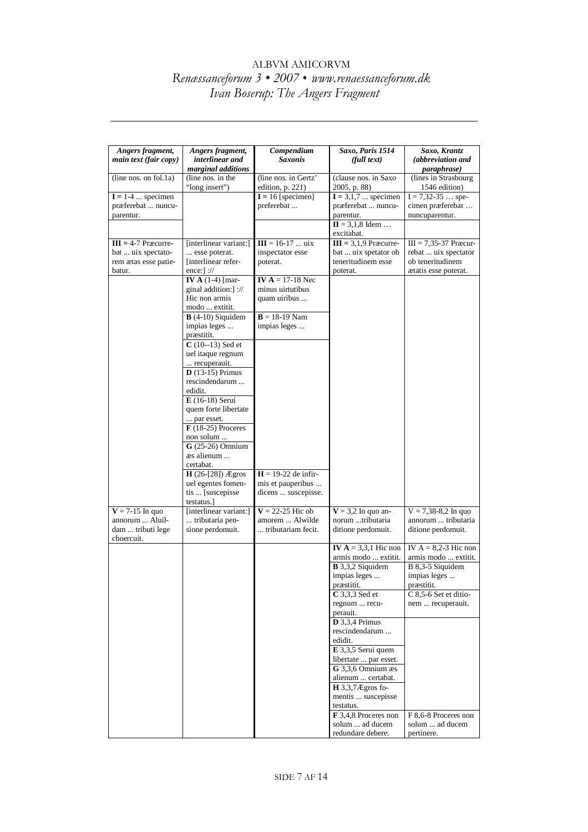| Angers fragment,                | Angers fragment,                         | Compendium                                 | Saxo, Paris 1514                                      | Saxo, Krantz                             |
|---------------------------------|------------------------------------------|--------------------------------------------|-------------------------------------------------------|------------------------------------------|
| main text (fair copy)           | interlinear and                          | <b>Saxonis</b>                             | (full text)                                           | (abbreviation and                        |
|                                 | marginal additions                       |                                            |                                                       | <i>paraphrase</i> )                      |
| (line nos. on fol.1a)           | (line nos. in the                        | (line nos. in Gertz'                       | (clause nos. in Saxo                                  | (lines in Strasbourg                     |
|                                 | "long insert")                           | edition, p. 221)                           | 2005, p. 88)                                          | 1546 edition)                            |
| $I = 1-4$ specimen              |                                          | $I = 16$ [specimen]                        | $I = 3,1,7$ specimen                                  | $I = 7,32-35$ spe-                       |
| præferebat  nuncu-<br>parentur. |                                          | preferebat                                 | præferebat  nuncu-<br>parentur.                       | cimen præferebat<br>nuncuparentur.       |
|                                 |                                          |                                            | $\Pi = 3,1,8$ Idem                                    |                                          |
|                                 |                                          |                                            | excitabat.                                            |                                          |
| $III = 4-7$ Præcurre-           | [interlinear variant:]                   | $III = 16-17$ uix                          | $III = 3,1,9$ Præcurre-                               | $III = 7,35-37$ Præcur-                  |
| bat  uix spectato-              | esse poterat.                            | inspectator esse                           | bat  uix spetator ob                                  | rebat  uix spectator                     |
| rem ætas esse patie-            | [interlinear refer-                      | poterat.                                   | teneritudinem esse                                    | ob teneritudinem                         |
| batur.                          | ence:] ://                               |                                            | poterat.                                              | atatis esse poterat.                     |
|                                 | IV A $(1-4)$ [mar-                       | IV $A = 17-18$ Nec                         |                                                       |                                          |
|                                 | ginal addition:] ://<br>Hic non armis    | minus uirtutibus                           |                                                       |                                          |
|                                 | modo  extitit.                           | quam uiribus                               |                                                       |                                          |
|                                 | $B(4-10)$ Siquidem                       | $B = 18-19$ Nam                            |                                                       |                                          |
|                                 | impias leges                             | impias leges                               |                                                       |                                          |
|                                 | præstitit.                               |                                            |                                                       |                                          |
|                                 | $C(10-13)$ Sed et                        |                                            |                                                       |                                          |
|                                 | uel itaque regnum                        |                                            |                                                       |                                          |
|                                 | recuperauit.                             |                                            |                                                       |                                          |
|                                 | $\overline{\mathbf{D}}$ (13-15) Primus   |                                            |                                                       |                                          |
|                                 | rescindendarum<br>edidit.                |                                            |                                                       |                                          |
|                                 | E (16-18) Serui                          |                                            |                                                       |                                          |
|                                 | quem forte libertate                     |                                            |                                                       |                                          |
|                                 | par esset.                               |                                            |                                                       |                                          |
|                                 | $\bf{F}$ (18-25) Proceres                |                                            |                                                       |                                          |
|                                 | non solum                                |                                            |                                                       |                                          |
|                                 | $G(25-26)$ Omnium                        |                                            |                                                       |                                          |
|                                 | as alienum                               |                                            |                                                       |                                          |
|                                 | certabat.                                |                                            |                                                       |                                          |
|                                 | $H(26-[28])$ Ægros<br>uel egentes fomen- | $H = 19-22$ de infir-<br>mis et pauperibus |                                                       |                                          |
|                                 | tis  [suscepisse                         | dicens  suscepisse.                        |                                                       |                                          |
|                                 | testatus.]                               |                                            |                                                       |                                          |
| $V = 7-15$ In quo               | [interlinear variant:]                   | $V = 22-25$ Hic ob                         | $V = 3.2$ In quo an-                                  | $V = 7,38-8,2$ In quo                    |
| annorum  Aluil-                 | tributaria pen-                          | amorem  Alwilde                            | norum tributaria                                      | annorum  tributaria                      |
| dam  tributi lege               | sione perdomuit.                         | tributariam fecit.                         | ditione perdomuit.                                    | ditione perdomuit.                       |
| choercuit.                      |                                          |                                            |                                                       |                                          |
|                                 |                                          |                                            | IV $A = 3,3,1$ Hic non                                | IV $A = 8,2-3$ Hic non                   |
|                                 |                                          |                                            | armis modo  extitit.<br>$\overline{B}$ 3,3,2 Siquidem | armis modo  extitit.<br>B 8,3-5 Siquidem |
|                                 |                                          |                                            | impias leges                                          | impias leges                             |
|                                 |                                          |                                            | præstitit.                                            | præstitit.                               |
|                                 |                                          |                                            | C 3,3,3 Sed et                                        | C 8,5-6 Set et ditio-                    |
|                                 |                                          |                                            | regnum  recu-                                         | nem  recuperauit.                        |
|                                 |                                          |                                            | perauit.                                              |                                          |
|                                 |                                          |                                            | $D$ 3,3,4 Primus                                      |                                          |
|                                 |                                          |                                            | rescindendarum<br>edidit.                             |                                          |
|                                 |                                          |                                            | E 3,3,5 Serui quem                                    |                                          |
|                                 |                                          |                                            | libertate  par esset.                                 |                                          |
|                                 |                                          |                                            | G 3,3,6 Omnium æs                                     |                                          |
|                                 |                                          |                                            | alienum  certabat.                                    |                                          |
|                                 |                                          |                                            | $H$ 3,3,7 $E$ gros fo-                                |                                          |
|                                 |                                          |                                            | mentis  suscepisse                                    |                                          |
|                                 |                                          |                                            | testatus.                                             |                                          |
|                                 |                                          |                                            | F 3,4,8 Proceres non                                  | F 8,6-8 Proceres non                     |
|                                 |                                          |                                            | solum  ad ducem<br>redundare debere.                  | solum  ad ducem<br>pertinere.            |
|                                 |                                          |                                            |                                                       |                                          |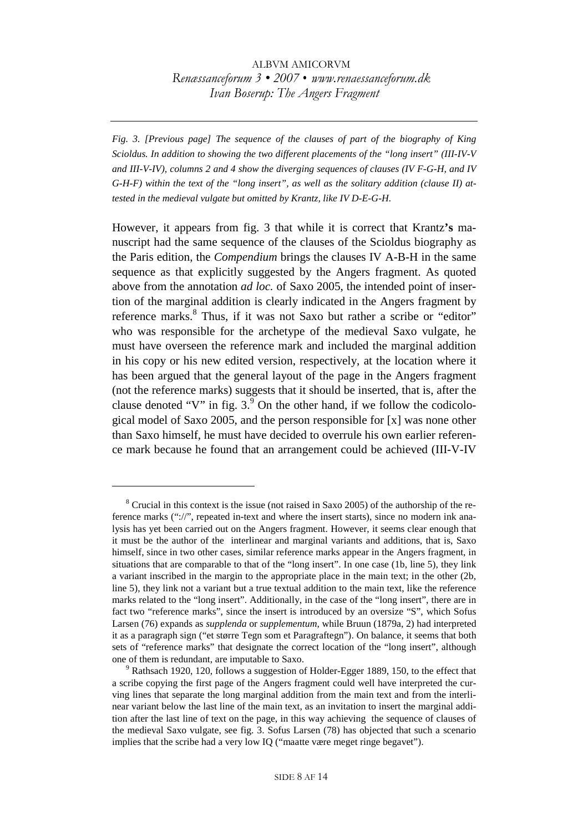*Fig. 3. [Previous page] The sequence of the clauses of part of the biography of King Scioldus. In addition to showing the two different placements of the "long insert" (III-IV-V and III-V-IV), columns 2 and 4 show the diverging sequences of clauses (IV F-G-H, and IV G-H-F) within the text of the "long insert", as well as the solitary addition (clause II) attested in the medieval vulgate but omitted by Krantz, like IV D-E-G-H.* 

However, it appears from fig. 3 that while it is correct that Krantz**'s** manuscript had the same sequence of the clauses of the Scioldus biography as the Paris edition, the *Compendium* brings the clauses IV A-B-H in the same sequence as that explicitly suggested by the Angers fragment. As quoted above from the annotation *ad loc.* of Saxo 2005, the intended point of insertion of the marginal addition is clearly indicated in the Angers fragment by reference marks.<sup>8</sup> Thus, if it was not Saxo but rather a scribe or "editor" who was responsible for the archetype of the medieval Saxo vulgate, he must have overseen the reference mark and included the marginal addition in his copy or his new edited version, respectively, at the location where it has been argued that the general layout of the page in the Angers fragment (not the reference marks) suggests that it should be inserted, that is, after the clause denoted "V" in fig.  $3<sup>9</sup>$  On the other hand, if we follow the codicological model of Saxo 2005, and the person responsible for [x] was none other than Saxo himself, he must have decided to overrule his own earlier reference mark because he found that an arrangement could be achieved (III-V-IV

 $8$  Crucial in this context is the issue (not raised in Saxo 2005) of the authorship of the reference marks ("://", repeated in-text and where the insert starts), since no modern ink analysis has yet been carried out on the Angers fragment. However, it seems clear enough that it must be the author of the interlinear and marginal variants and additions, that is, Saxo himself, since in two other cases, similar reference marks appear in the Angers fragment, in situations that are comparable to that of the "long insert". In one case (1b, line 5), they link a variant inscribed in the margin to the appropriate place in the main text; in the other (2b, line 5), they link not a variant but a true textual addition to the main text, like the reference marks related to the "long insert". Additionally, in the case of the "long insert", there are in fact two "reference marks", since the insert is introduced by an oversize "S", which Sofus Larsen (76) expands as *supplenda* or *supplementum*, while Bruun (1879a, 2) had interpreted it as a paragraph sign ("et større Tegn som et Paragraftegn"). On balance, it seems that both sets of "reference marks" that designate the correct location of the "long insert", although one of them is redundant, are imputable to Saxo.

<sup>&</sup>lt;sup>9</sup> Rathsach 1920, 120, follows a suggestion of Holder-Egger 1889, 150, to the effect that a scribe copying the first page of the Angers fragment could well have interpreted the curving lines that separate the long marginal addition from the main text and from the interlinear variant below the last line of the main text, as an invitation to insert the marginal addition after the last line of text on the page, in this way achieving the sequence of clauses of the medieval Saxo vulgate, see fig. 3. Sofus Larsen (78) has objected that such a scenario implies that the scribe had a very low IQ ("maatte være meget ringe begavet").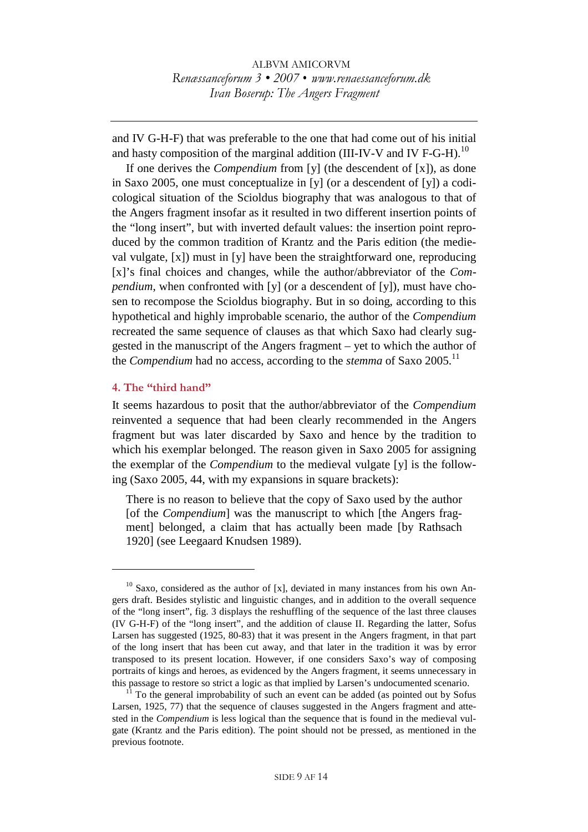and IV G-H-F) that was preferable to the one that had come out of his initial and hasty composition of the marginal addition (III-IV-V and IV F-G-H).<sup>10</sup>

If one derives the *Compendium* from [y] (the descendent of [x]), as done in Saxo 2005, one must conceptualize in [y] (or a descendent of [y]) a codicological situation of the Scioldus biography that was analogous to that of the Angers fragment insofar as it resulted in two different insertion points of the "long insert", but with inverted default values: the insertion point reproduced by the common tradition of Krantz and the Paris edition (the medieval vulgate, [x]) must in [y] have been the straightforward one, reproducing [x]'s final choices and changes, while the author/abbreviator of the *Compendium*, when confronted with [y] (or a descendent of [y]), must have chosen to recompose the Scioldus biography. But in so doing, according to this hypothetical and highly improbable scenario, the author of the *Compendium* recreated the same sequence of clauses as that which Saxo had clearly suggested in the manuscript of the Angers fragment – yet to which the author of the *Compendium* had no access, according to the *stemma* of Saxo 2005.<sup>11</sup>

#### **4. The "third hand"**

 $\overline{a}$ 

It seems hazardous to posit that the author/abbreviator of the *Compendium* reinvented a sequence that had been clearly recommended in the Angers fragment but was later discarded by Saxo and hence by the tradition to which his exemplar belonged. The reason given in Saxo 2005 for assigning the exemplar of the *Compendium* to the medieval vulgate [y] is the following (Saxo 2005, 44, with my expansions in square brackets):

There is no reason to believe that the copy of Saxo used by the author [of the *Compendium*] was the manuscript to which [the Angers fragment] belonged, a claim that has actually been made [by Rathsach 1920] (see Leegaard Knudsen 1989).

 $10$  Saxo, considered as the author of [x], deviated in many instances from his own Angers draft. Besides stylistic and linguistic changes, and in addition to the overall sequence of the "long insert", fig. 3 displays the reshuffling of the sequence of the last three clauses (IV G-H-F) of the "long insert", and the addition of clause II. Regarding the latter, Sofus Larsen has suggested (1925, 80-83) that it was present in the Angers fragment, in that part of the long insert that has been cut away, and that later in the tradition it was by error transposed to its present location. However, if one considers Saxo's way of composing portraits of kings and heroes, as evidenced by the Angers fragment, it seems unnecessary in this passage to restore so strict a logic as that implied by Larsen's undocumented scenario.<br><sup>11</sup> To the general improbability of such an event can be added (as pointed out by Sofus

Larsen, 1925, 77) that the sequence of clauses suggested in the Angers fragment and attested in the *Compendium* is less logical than the sequence that is found in the medieval vulgate (Krantz and the Paris edition). The point should not be pressed, as mentioned in the previous footnote.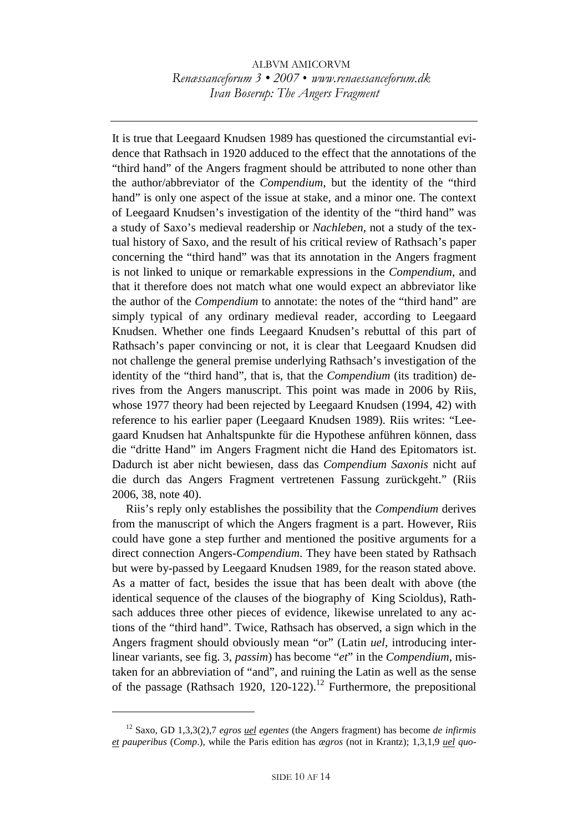It is true that Leegaard Knudsen 1989 has questioned the circumstantial evidence that Rathsach in 1920 adduced to the effect that the annotations of the "third hand" of the Angers fragment should be attributed to none other than the author/abbreviator of the *Compendium*, but the identity of the "third hand" is only one aspect of the issue at stake, and a minor one. The context of Leegaard Knudsen's investigation of the identity of the "third hand" was a study of Saxo's medieval readership or *Nachleben*, not a study of the textual history of Saxo, and the result of his critical review of Rathsach's paper concerning the "third hand" was that its annotation in the Angers fragment is not linked to unique or remarkable expressions in the *Compendium*, and that it therefore does not match what one would expect an abbreviator like the author of the *Compendium* to annotate: the notes of the "third hand" are simply typical of any ordinary medieval reader, according to Leegaard Knudsen. Whether one finds Leegaard Knudsen's rebuttal of this part of Rathsach's paper convincing or not, it is clear that Leegaard Knudsen did not challenge the general premise underlying Rathsach's investigation of the identity of the "third hand", that is, that the *Compendium* (its tradition) derives from the Angers manuscript. This point was made in 2006 by Riis, whose 1977 theory had been rejected by Leegaard Knudsen (1994, 42) with reference to his earlier paper (Leegaard Knudsen 1989). Riis writes: "Leegaard Knudsen hat Anhaltspunkte für die Hypothese anführen können, dass die "dritte Hand" im Angers Fragment nicht die Hand des Epitomators ist. Dadurch ist aber nicht bewiesen, dass das *Compendium Saxonis* nicht auf die durch das Angers Fragment vertretenen Fassung zurückgeht." (Riis 2006, 38, note 40).

Riis's reply only establishes the possibility that the *Compendium* derives from the manuscript of which the Angers fragment is a part. However, Riis could have gone a step further and mentioned the positive arguments for a direct connection Angers-*Compendium*. They have been stated by Rathsach but were by-passed by Leegaard Knudsen 1989, for the reason stated above. As a matter of fact, besides the issue that has been dealt with above (the identical sequence of the clauses of the biography of King Scioldus), Rathsach adduces three other pieces of evidence, likewise unrelated to any actions of the "third hand". Twice, Rathsach has observed, a sign which in the Angers fragment should obviously mean "or" (Latin *uel*, introducing interlinear variants, see fig. 3, *passim*) has become "*et*" in the *Compendium*, mistaken for an abbreviation of "and", and ruining the Latin as well as the sense of the passage (Rathsach 1920, 120-122).<sup>12</sup> Furthermore, the prepositional

<sup>12</sup> Saxo, GD 1,3,3(2),7 *egros uel egentes* (the Angers fragment) has become *de infirmis et pauperibus* (*Comp*.), while the Paris edition has *ægros* (not in Krantz); 1,3,1,9 *uel quo-*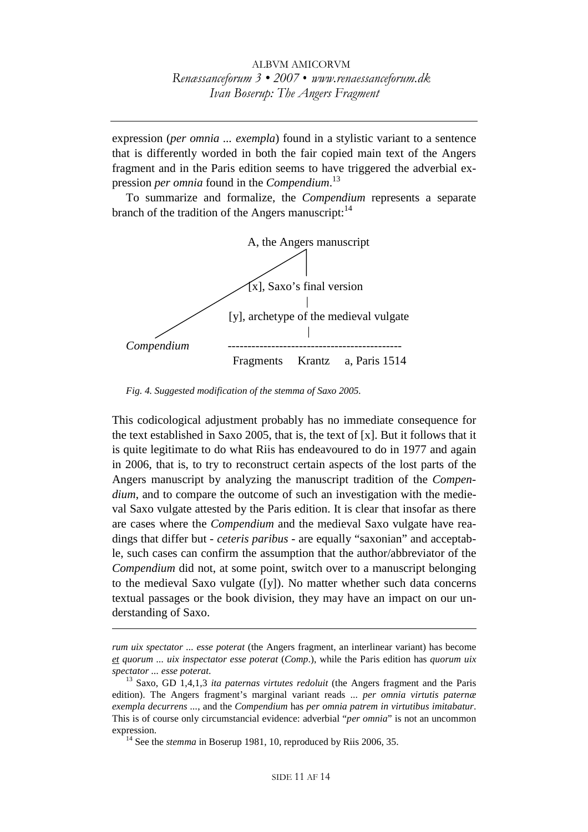expression (*per omnia ... exempla*) found in a stylistic variant to a sentence that is differently worded in both the fair copied main text of the Angers fragment and in the Paris edition seems to have triggered the adverbial expression *per omnia* found in the *Compendium*. 13

To summarize and formalize, the *Compendium* represents a separate branch of the tradition of the Angers manuscript:  $14$ 



*Fig. 4. Suggested modification of the stemma of Saxo 2005.* 

This codicological adjustment probably has no immediate consequence for the text established in Saxo 2005, that is, the text of [x]. But it follows that it is quite legitimate to do what Riis has endeavoured to do in 1977 and again in 2006, that is, to try to reconstruct certain aspects of the lost parts of the Angers manuscript by analyzing the manuscript tradition of the *Compendium*, and to compare the outcome of such an investigation with the medieval Saxo vulgate attested by the Paris edition. It is clear that insofar as there are cases where the *Compendium* and the medieval Saxo vulgate have readings that differ but - *ceteris paribus* - are equally "saxonian" and acceptable, such cases can confirm the assumption that the author/abbreviator of the *Compendium* did not, at some point, switch over to a manuscript belonging to the medieval Saxo vulgate ([y]). No matter whether such data concerns textual passages or the book division, they may have an impact on our understanding of Saxo.

*rum uix spectator ... esse poterat* (the Angers fragment, an interlinear variant) has become *et quorum ... uix inspectator esse poterat* (*Comp*.), while the Paris edition has *quorum uix spectator ... esse poterat*. 13 Saxo, GD 1,4,1,3 *ita paternas virtutes redoluit* (the Angers fragment and the Paris

edition). The Angers fragment's marginal variant reads ... *per omnia virtutis paternæ exempla decurrens ...*, and the *Compendium* has *per omnia patrem in virtutibus imitabatur*. This is of course only circumstancial evidence: adverbial "*per omnia*" is not an uncommon

<sup>&</sup>lt;sup>14</sup> See the *stemma* in Boserup 1981, 10, reproduced by Riis 2006, 35.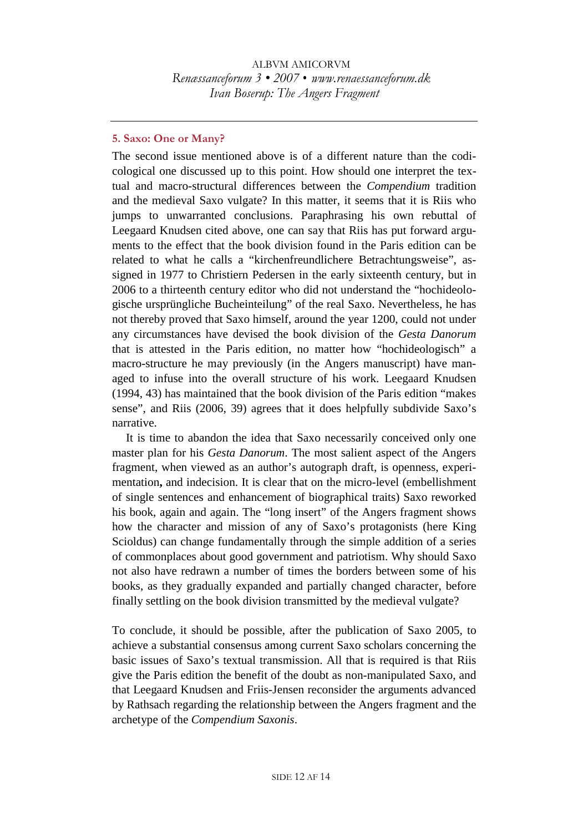#### **5. Saxo: One or Many?**

The second issue mentioned above is of a different nature than the codicological one discussed up to this point. How should one interpret the textual and macro-structural differences between the *Compendium* tradition and the medieval Saxo vulgate? In this matter, it seems that it is Riis who jumps to unwarranted conclusions. Paraphrasing his own rebuttal of Leegaard Knudsen cited above, one can say that Riis has put forward arguments to the effect that the book division found in the Paris edition can be related to what he calls a "kirchenfreundlichere Betrachtungsweise", assigned in 1977 to Christiern Pedersen in the early sixteenth century, but in 2006 to a thirteenth century editor who did not understand the "hochideologische ursprüngliche Bucheinteilung" of the real Saxo. Nevertheless, he has not thereby proved that Saxo himself, around the year 1200, could not under any circumstances have devised the book division of the *Gesta Danorum* that is attested in the Paris edition, no matter how "hochideologisch" a macro-structure he may previously (in the Angers manuscript) have managed to infuse into the overall structure of his work. Leegaard Knudsen (1994, 43) has maintained that the book division of the Paris edition "makes sense", and Riis (2006, 39) agrees that it does helpfully subdivide Saxo's narrative.

It is time to abandon the idea that Saxo necessarily conceived only one master plan for his *Gesta Danorum*. The most salient aspect of the Angers fragment, when viewed as an author's autograph draft, is openness, experimentation**,** and indecision. It is clear that on the micro-level (embellishment of single sentences and enhancement of biographical traits) Saxo reworked his book, again and again. The "long insert" of the Angers fragment shows how the character and mission of any of Saxo's protagonists (here King Scioldus) can change fundamentally through the simple addition of a series of commonplaces about good government and patriotism. Why should Saxo not also have redrawn a number of times the borders between some of his books, as they gradually expanded and partially changed character, before finally settling on the book division transmitted by the medieval vulgate?

To conclude, it should be possible, after the publication of Saxo 2005, to achieve a substantial consensus among current Saxo scholars concerning the basic issues of Saxo's textual transmission. All that is required is that Riis give the Paris edition the benefit of the doubt as non-manipulated Saxo, and that Leegaard Knudsen and Friis-Jensen reconsider the arguments advanced by Rathsach regarding the relationship between the Angers fragment and the archetype of the *Compendium Saxonis*.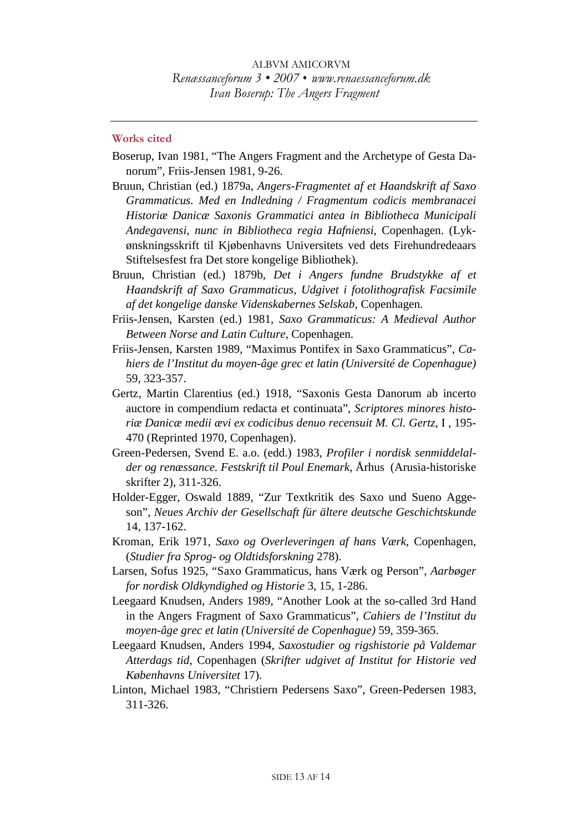#### **Works cited**

- Boserup, Ivan 1981, "The Angers Fragment and the Archetype of Gesta Danorum", Friis-Jensen 1981, 9-26.
- Bruun, Christian (ed.) 1879a, *Angers-Fragmentet af et Haandskrift af Saxo Grammaticus. Med en Indledning / Fragmentum codicis membranacei Historiæ Danicæ Saxonis Grammatici antea in Bibliotheca Municipali Andegavensi, nunc in Bibliotheca regia Hafniensi,* Copenhagen. (Lykønskningsskrift til Kjøbenhavns Universitets ved dets Firehundredeaars Stiftelsesfest fra Det store kongelige Bibliothek).
- Bruun, Christian (ed.) 1879b, *Det i Angers fundne Brudstykke af et Haandskrift af Saxo Grammaticus, Udgivet i fotolithografisk Facsimile af det kongelige danske Videnskabernes Selskab*, Copenhagen.
- Friis-Jensen, Karsten (ed.) 1981, *Saxo Grammaticus: A Medieval Author Between Norse and Latin Culture*, Copenhagen.
- Friis-Jensen, Karsten 1989, "Maximus Pontifex in Saxo Grammaticus", *Cahiers de l'Institut du moyen-âge grec et latin (Université de Copenhague)* 59, 323-357.
- Gertz, Martin Clarentius (ed.) 1918, "Saxonis Gesta Danorum ab incerto auctore in compendium redacta et continuata", *Scriptores minores historiæ Danicæ medii ævi ex codicibus denuo recensuit M. Cl. Gertz*, I , 195- 470 (Reprinted 1970, Copenhagen).
- Green-Pedersen, Svend E. a.o. (edd.) 1983, *Profiler i nordisk senmiddelalder og renæssance. Festskrift til Poul Enemark*, Århus (Arusia-historiske skrifter 2), 311-326.
- Holder-Egger, Oswald 1889, "Zur Textkritik des Saxo und Sueno Aggeson", *Neues Archiv der Gesellschaft für ältere deutsche Geschichtskunde* 14, 137-162.
- Kroman, Erik 1971, *Saxo og Overleveringen af hans Værk*, Copenhagen, (*Studier fra Sprog- og Oldtidsforskning* 278).
- Larsen, Sofus 1925, "Saxo Grammaticus, hans Værk og Person", *Aarbøger for nordisk Oldkyndighed og Historie* 3, 15, 1-286.
- Leegaard Knudsen, Anders 1989, "Another Look at the so-called 3rd Hand in the Angers Fragment of Saxo Grammaticus", *Cahiers de l'Institut du moyen-âge grec et latin (Université de Copenhague)* 59, 359-365.
- Leegaard Knudsen, Anders 1994, *Saxostudier og rigshistorie på Valdemar Atterdags tid*, Copenhagen (*Skrifter udgivet af Institut for Historie ved Københavns Universitet* 17).
- Linton, Michael 1983, "Christiern Pedersens Saxo", Green-Pedersen 1983, 311-326.